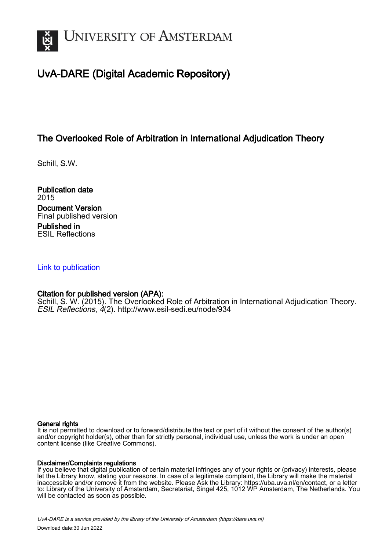

# UvA-DARE (Digital Academic Repository)

## The Overlooked Role of Arbitration in International Adjudication Theory

Schill, S.W.

Publication date 2015 Document Version Final published version Published in ESIL Reflections

#### [Link to publication](https://dare.uva.nl/personal/pure/en/publications/the-overlooked-role-of-arbitration-in-international-adjudication-theory(745fdfdd-49df-4db2-a0e2-30bcda940d78).html)

#### Citation for published version (APA):

Schill, S. W. (2015). The Overlooked Role of Arbitration in International Adjudication Theory. ESIL Reflections, 4(2).<http://www.esil-sedi.eu/node/934>

#### General rights

It is not permitted to download or to forward/distribute the text or part of it without the consent of the author(s) and/or copyright holder(s), other than for strictly personal, individual use, unless the work is under an open content license (like Creative Commons).

#### Disclaimer/Complaints regulations

If you believe that digital publication of certain material infringes any of your rights or (privacy) interests, please let the Library know, stating your reasons. In case of a legitimate complaint, the Library will make the material inaccessible and/or remove it from the website. Please Ask the Library: https://uba.uva.nl/en/contact, or a letter to: Library of the University of Amsterdam, Secretariat, Singel 425, 1012 WP Amsterdam, The Netherlands. You will be contacted as soon as possible.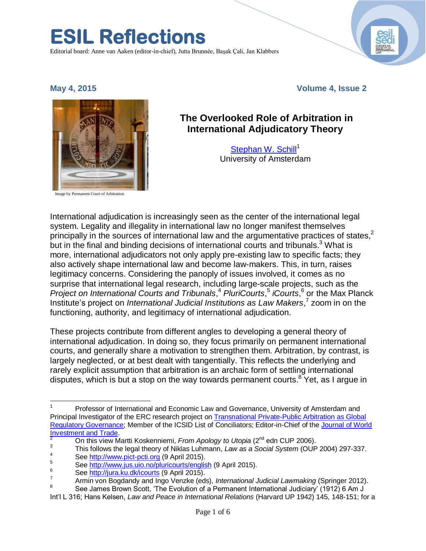Editorial board: Anne van Aaken (editor-in-chief), Jutta Brunnée, Başak Çali, Jan Klabbers

**ESIL Reflections** 

#### **May 4, 2015 Volume 4, Issue 2**

Image by Permanent Court of Arbitration



# **The Overlooked Role of Arbitration in**

[Stephan W. Schill](http://www.uva.nl/en/about-the-uva/organisation/staff-members/content/s/c/s.w.b.schill/s.w.b.schill.html)<sup>1</sup> University of Amsterdam

**International Adjudicatory Theory**

International adjudication is increasingly seen as the center of the international legal system. Legality and illegality in international law no longer manifest themselves principally in the sources of international law and the argumentative practices of states,<sup>2</sup> but in the final and binding decisions of international courts and tribunals.<sup>3</sup> What is more, international adjudicators not only apply pre-existing law to specific facts; they also actively shape international law and become law-makers. This, in turn, raises legitimacy concerns. Considering the panoply of issues involved, it comes as no surprise that international legal research, including large-scale projects, such as the *Project on International Courts and Tribunals*, <sup>4</sup> *PluriCourts*, 5 *iCourts*, 6 or the Max Planck Institute's project on *International Judicial Institutions as Law Makers*,<sup>7</sup> zoom in on the functioning, authority, and legitimacy of international adjudication.

These projects contribute from different angles to developing a general theory of international adjudication. In doing so, they focus primarily on permanent international courts, and generally share a motivation to strengthen them. Arbitration, by contrast, is largely neglected, or at best dealt with tangentially. This reflects the underlying and rarely explicit assumption that arbitration is an archaic form of settling international disputes, which is but a stop on the way towards permanent courts. $8$  Yet, as I arque in

 $\overline{\phantom{a}}$ Professor of International and Economic Law and Governance, University of Amsterdam and Principal Investigator of the ERC research project o[n Transnational Private-Public Arbitration as Global](http://www.lex-mp.de/)  [Regulatory Governance;](http://www.lex-mp.de/) Member of the ICSID List of Conciliators; Editor-in-Chief of th[e Journal of World](http://www.brill.com/journal-world-investment-trade)  **Investment and Trade** 

<sup>2</sup> On this view Martti Koskenniemi, *From Apology to Utopia* (2nd edn CUP 2006).

<sup>3</sup> This follows the legal theory of Niklas Luhmann, *Law as a Social System* (OUP 2004) 297-337.

<sup>4</sup> See <u>http://www.pict-pcti.org</u> (9 April 2015).

 $5$  See<http://www.jus.uio.no/pluricourts/english> (9 April 2015).

 $^{6}$  See <u>http://jura.ku.dk/icourts</u> (9 April 2015).

<sup>7</sup> Armin von Bogdandy and Ingo Venzke (eds), *International Judicial Lawmaking* (Springer 2012).

<sup>8</sup> See James Brown Scott, 'The Evolution of a Permanent International Judiciary' (1912) 6 Am J

Int'l L 316; Hans Kelsen, *Law and Peace in International Relations* (Harvard UP 1942) 145, 148-151; for a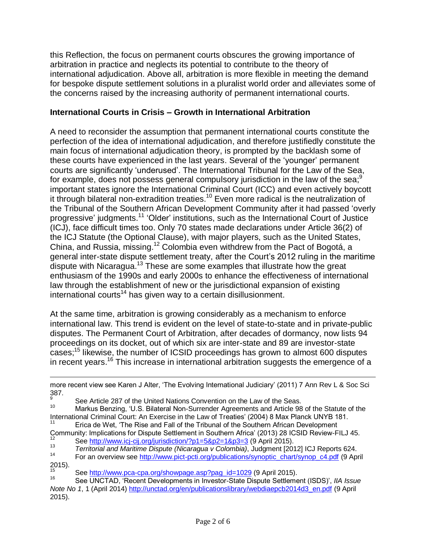this Reflection, the focus on permanent courts obscures the growing importance of arbitration in practice and neglects its potential to contribute to the theory of international adjudication. Above all, arbitration is more flexible in meeting the demand for bespoke dispute settlement solutions in a pluralist world order and alleviates some of the concerns raised by the increasing authority of permanent international courts.

## **International Courts in Crisis – Growth in International Arbitration**

A need to reconsider the assumption that permanent international courts constitute the perfection of the idea of international adjudication, and therefore justifiedly constitute the main focus of international adjudication theory, is prompted by the backlash some of these courts have experienced in the last years. Several of the 'younger' permanent courts are significantly 'underused'. The International Tribunal for the Law of the Sea, for example, does not possess general compulsory jurisdiction in the law of the sea;<sup>9</sup> important states ignore the International Criminal Court (ICC) and even actively boycott it through bilateral non-extradition treaties.<sup>10</sup> Even more radical is the neutralization of the Tribunal of the Southern African Development Community after it had passed 'overly progressive' judgments.<sup>11</sup> 'Older' institutions, such as the International Court of Justice (ICJ), face difficult times too. Only 70 states made declarations under Article 36(2) of the ICJ Statute (the Optional Clause), with major players, such as the United States, China, and Russia, missing.<sup>12</sup> Colombia even withdrew from the Pact of Bogotá, a general inter-state dispute settlement treaty, after the Court's 2012 ruling in the maritime dispute with Nicaragua.<sup>13</sup> These are some examples that illustrate how the great enthusiasm of the 1990s and early 2000s to enhance the effectiveness of international law through the establishment of new or the jurisdictional expansion of existing  $intermational$  courts<sup>14</sup> has given way to a certain disillusionment.

At the same time, arbitration is growing considerably as a mechanism to enforce international law. This trend is evident on the level of state-to-state and in private-public disputes. The Permanent Court of Arbitration, after decades of dormancy, now lists 94 proceedings on its docket, out of which six are inter-state and 89 are investor-state cases; <sup>15</sup> likewise, the number of ICSID proceedings has grown to almost 600 disputes in recent years.<sup>16</sup> This increase in international arbitration suggests the emergence of a

 $\overline{a}$ 

more recent view see Karen J Alter, 'The Evolving International Judiciary' (2011) 7 Ann Rev L & Soc Sci 387.

<sup>&</sup>lt;sup>9</sup> See Article 287 of the United Nations Convention on the Law of the Seas.<br><sup>10</sup> Markus Repairs (11.5 Biloteral Nep Surrender Agreements and Article 08

Markus Benzing, 'U.S. Bilateral Non-Surrender Agreements and Article 98 of the Statute of the International Criminal Court: An Exercise in the Law of Treaties' (2004) 8 Max Planck UNYB 181.

Erica de Wet, 'The Rise and Fall of the Tribunal of the Southern African Development

Community: Implications for Dispute Settlement in Southern Africa' (2013) 28 ICSID Review-FILJ 45. <sup>12</sup> See <u>http://www.icj-cij.org/jurisdiction/?p1=5&p2=1&p3=3</u> (9 April 2015).<br><sup>13</sup> Territorial and Maritime Diagute (Nicarague y Colombia), Judgment 1900

<sup>13</sup> *Territorial and Maritime Dispute (Nicaragua v Colombia)*, Judgment [2012] ICJ Reports 624.

<sup>14</sup> For an overview see [http://www.pict-pcti.org/publications/synoptic\\_chart/synop\\_c4.pdf](http://www.pict-pcti.org/publications/synoptic_chart/synop_c4.pdf) (9 April  $2015$ ).

<sup>&</sup>lt;sup>15</sup> See [http://www.pca-cpa.org/showpage.asp?pag\\_id=1029](http://www.pca-cpa.org/showpage.asp?pag_id=1029) (9 April 2015).

<sup>16</sup> See UNCTAD, 'Recent Developments in Investor-State Dispute Settlement (ISDS)', *IIA Issue Note No 1*, 1 (April 2014) [http://unctad.org/en/publicationslibrary/webdiaepcb2014d3\\_en.pdf](http://unctad.org/en/publicationslibrary/webdiaepcb2014d3_en.pdf) (9 April 2015).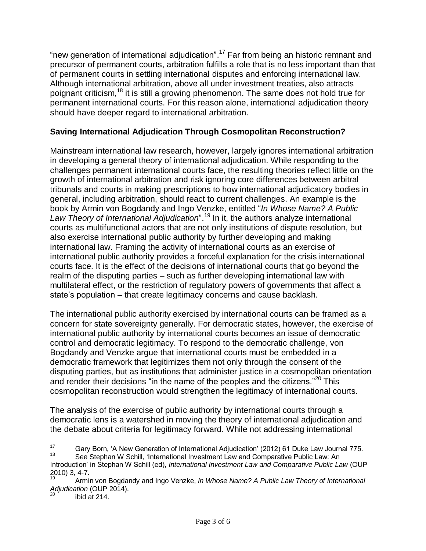"new generation of international adjudication".<sup>17</sup> Far from being an historic remnant and precursor of permanent courts, arbitration fulfills a role that is no less important than that of permanent courts in settling international disputes and enforcing international law. Although international arbitration, above all under investment treaties, also attracts poignant criticism,<sup>18</sup> it is still a growing phenomenon. The same does not hold true for permanent international courts. For this reason alone, international adjudication theory should have deeper regard to international arbitration.

## **Saving International Adjudication Through Cosmopolitan Reconstruction?**

Mainstream international law research, however, largely ignores international arbitration in developing a general theory of international adjudication. While responding to the challenges permanent international courts face, the resulting theories reflect little on the growth of international arbitration and risk ignoring core differences between arbitral tribunals and courts in making prescriptions to how international adjudicatory bodies in general, including arbitration, should react to current challenges. An example is the book by Armin von Bogdandy and Ingo Venzke, entitled "*In Whose Name? A Public Law Theory of International Adjudication*".<sup>19</sup> In it, the authors analyze international courts as multifunctional actors that are not only institutions of dispute resolution, but also exercise international public authority by further developing and making international law. Framing the activity of international courts as an exercise of international public authority provides a forceful explanation for the crisis international courts face. It is the effect of the decisions of international courts that go beyond the realm of the disputing parties – such as further developing international law with multilateral effect, or the restriction of regulatory powers of governments that affect a state's population – that create legitimacy concerns and cause backlash.

The international public authority exercised by international courts can be framed as a concern for state sovereignty generally. For democratic states, however, the exercise of international public authority by international courts becomes an issue of democratic control and democratic legitimacy. To respond to the democratic challenge, von Bogdandy and Venzke argue that international courts must be embedded in a democratic framework that legitimizes them not only through the consent of the disputing parties, but as institutions that administer justice in a cosmopolitan orientation and render their decisions "in the name of the peoples and the citizens."<sup>20</sup> This cosmopolitan reconstruction would strengthen the legitimacy of international courts.

The analysis of the exercise of public authority by international courts through a democratic lens is a watershed in moving the theory of international adjudication and the debate about criteria for legitimacy forward. While not addressing international

 $17$ <sup>17</sup> Gary Born, 'A New Generation of International Adjudication' (2012) 61 Duke Law Journal 775.

See Stephan W Schill, 'International Investment Law and Comparative Public Law: An Introduction' in Stephan W Schill (ed), *International Investment Law and Comparative Public Law* (OUP  $2010$ ) 3, 4-7.

<sup>19</sup> Armin von Bogdandy and Ingo Venzke, *In Whose Name? A Public Law Theory of International Adjudication* (OUP 2014).

ibid at 214.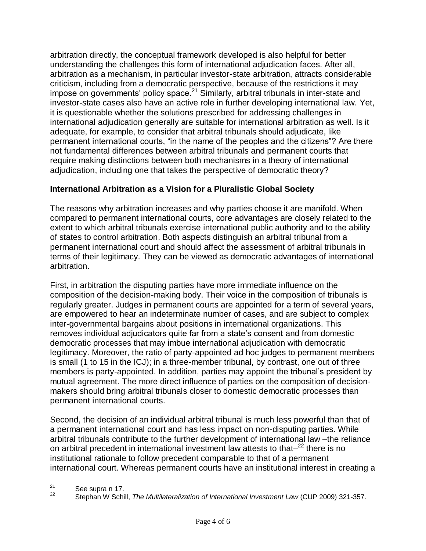arbitration directly, the conceptual framework developed is also helpful for better understanding the challenges this form of international adjudication faces. After all, arbitration as a mechanism, in particular investor-state arbitration, attracts considerable criticism, including from a democratic perspective, because of the restrictions it may impose on governments' policy space.<sup>21</sup> Similarly, arbitral tribunals in inter-state and investor-state cases also have an active role in further developing international law. Yet, it is questionable whether the solutions prescribed for addressing challenges in international adjudication generally are suitable for international arbitration as well. Is it adequate, for example, to consider that arbitral tribunals should adjudicate, like permanent international courts, "in the name of the peoples and the citizens"? Are there not fundamental differences between arbitral tribunals and permanent courts that require making distinctions between both mechanisms in a theory of international adjudication, including one that takes the perspective of democratic theory?

## **International Arbitration as a Vision for a Pluralistic Global Society**

The reasons why arbitration increases and why parties choose it are manifold. When compared to permanent international courts, core advantages are closely related to the extent to which arbitral tribunals exercise international public authority and to the ability of states to control arbitration. Both aspects distinguish an arbitral tribunal from a permanent international court and should affect the assessment of arbitral tribunals in terms of their legitimacy. They can be viewed as democratic advantages of international arbitration.

First, in arbitration the disputing parties have more immediate influence on the composition of the decision-making body. Their voice in the composition of tribunals is regularly greater. Judges in permanent courts are appointed for a term of several years, are empowered to hear an indeterminate number of cases, and are subject to complex inter-governmental bargains about positions in international organizations. This removes individual adjudicators quite far from a state's consent and from domestic democratic processes that may imbue international adjudication with democratic legitimacy. Moreover, the ratio of party-appointed ad hoc judges to permanent members is small (1 to 15 in the ICJ); in a three-member tribunal, by contrast, one out of three members is party-appointed. In addition, parties may appoint the tribunal's president by mutual agreement. The more direct influence of parties on the composition of decisionmakers should bring arbitral tribunals closer to domestic democratic processes than permanent international courts.

Second, the decision of an individual arbitral tribunal is much less powerful than that of a permanent international court and has less impact on non-disputing parties. While arbitral tribunals contribute to the further development of international law –the reliance on arbitral precedent in international investment law attests to that–<sup>22</sup> there is no institutional rationale to follow precedent comparable to that of a permanent international court. Whereas permanent courts have an institutional interest in creating a

 $21$  $\frac{21}{22}$  See supra n 17.

<sup>22</sup> Stephan W Schill, *The Multilateralization of International Investment Law* (CUP 2009) 321-357.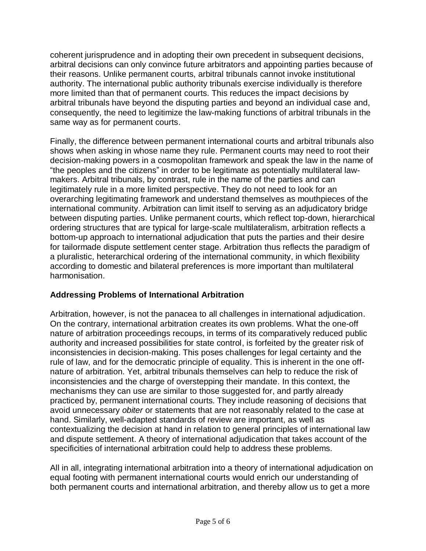coherent jurisprudence and in adopting their own precedent in subsequent decisions, arbitral decisions can only convince future arbitrators and appointing parties because of their reasons. Unlike permanent courts, arbitral tribunals cannot invoke institutional authority. The international public authority tribunals exercise individually is therefore more limited than that of permanent courts. This reduces the impact decisions by arbitral tribunals have beyond the disputing parties and beyond an individual case and, consequently, the need to legitimize the law-making functions of arbitral tribunals in the same way as for permanent courts.

Finally, the difference between permanent international courts and arbitral tribunals also shows when asking in whose name they rule. Permanent courts may need to root their decision-making powers in a cosmopolitan framework and speak the law in the name of "the peoples and the citizens" in order to be legitimate as potentially multilateral lawmakers. Arbitral tribunals, by contrast, rule in the name of the parties and can legitimately rule in a more limited perspective. They do not need to look for an overarching legitimating framework and understand themselves as mouthpieces of the international community. Arbitration can limit itself to serving as an adjudicatory bridge between disputing parties. Unlike permanent courts, which reflect top-down, hierarchical ordering structures that are typical for large-scale multilateralism, arbitration reflects a bottom-up approach to international adjudication that puts the parties and their desire for tailormade dispute settlement center stage. Arbitration thus reflects the paradigm of a pluralistic, heterarchical ordering of the international community, in which flexibility according to domestic and bilateral preferences is more important than multilateral harmonisation.

## **Addressing Problems of International Arbitration**

Arbitration, however, is not the panacea to all challenges in international adjudication. On the contrary, international arbitration creates its own problems. What the one-off nature of arbitration proceedings recoups, in terms of its comparatively reduced public authority and increased possibilities for state control, is forfeited by the greater risk of inconsistencies in decision-making. This poses challenges for legal certainty and the rule of law, and for the democratic principle of equality. This is inherent in the one offnature of arbitration. Yet, arbitral tribunals themselves can help to reduce the risk of inconsistencies and the charge of overstepping their mandate. In this context, the mechanisms they can use are similar to those suggested for, and partly already practiced by, permanent international courts. They include reasoning of decisions that avoid unnecessary *obiter* or statements that are not reasonably related to the case at hand. Similarly, well-adapted standards of review are important, as well as contextualizing the decision at hand in relation to general principles of international law and dispute settlement. A theory of international adjudication that takes account of the specificities of international arbitration could help to address these problems.

All in all, integrating international arbitration into a theory of international adjudication on equal footing with permanent international courts would enrich our understanding of both permanent courts and international arbitration, and thereby allow us to get a more